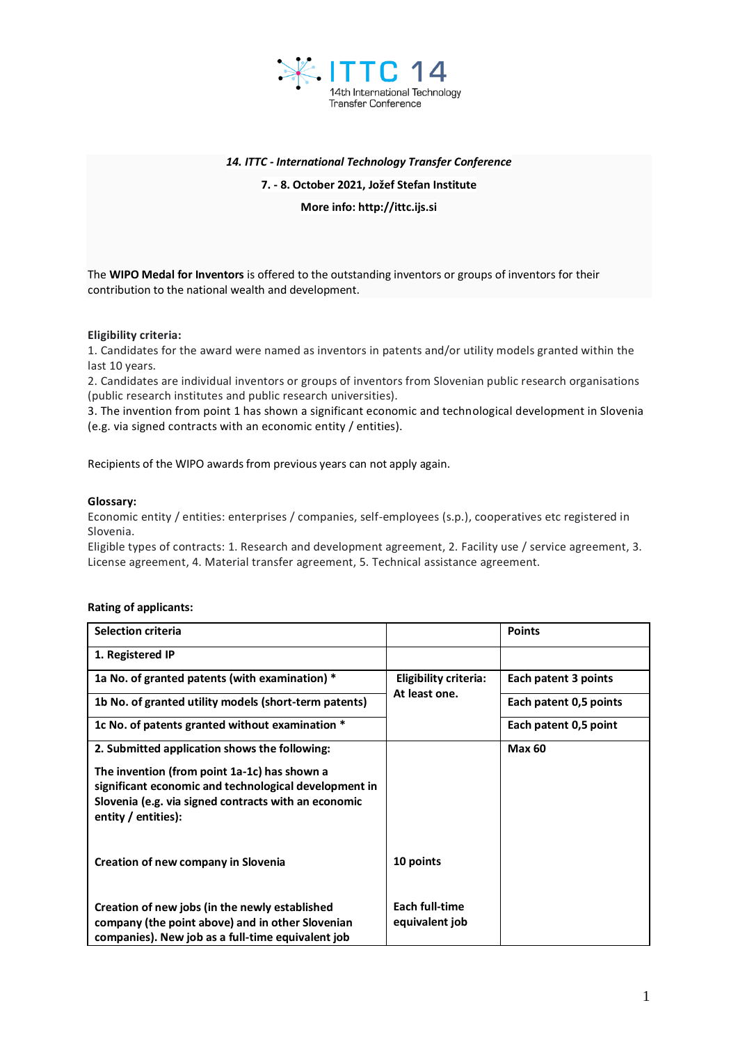

# *14. ITTC - International Technology Transfer Conference*

### **7. - 8. October 2021, Jožef Stefan Institute**

**More info: http://ittc.ijs.si**

The **WIPO Medal for Inventors** is offered to the outstanding inventors or groups of inventors for their contribution to the national wealth and development.

# **Eligibility criteria:**

1. Candidates for the award were named as inventors in patents and/or utility models granted within the last 10 years.

2. Candidates are individual inventors or groups of inventors from Slovenian public research organisations (public research institutes and public research universities).

3. The invention from point 1 has shown a significant economic and technological development in Slovenia (e.g. via signed contracts with an economic entity / entities).

Recipients of the WIPO awards from previous years can not apply again.

### **Glossary:**

Economic entity / entities: enterprises / companies, self-employees (s.p.), cooperatives etc registered in Slovenia.

Eligible types of contracts: 1. Research and development agreement, 2. Facility use / service agreement, 3. License agreement, 4. Material transfer agreement, 5. Technical assistance agreement.

### **Rating of applicants:**

| <b>Selection criteria</b>                                                                                                            |                                               | <b>Points</b>          |
|--------------------------------------------------------------------------------------------------------------------------------------|-----------------------------------------------|------------------------|
| 1. Registered IP                                                                                                                     |                                               |                        |
| 1a No. of granted patents (with examination) *                                                                                       | <b>Eligibility criteria:</b><br>At least one. | Each patent 3 points   |
| 1b No. of granted utility models (short-term patents)                                                                                |                                               | Each patent 0,5 points |
| 1c No. of patents granted without examination *                                                                                      |                                               | Each patent 0,5 point  |
| 2. Submitted application shows the following:                                                                                        |                                               | <b>Max 60</b>          |
| The invention (from point 1a-1c) has shown a                                                                                         |                                               |                        |
| significant economic and technological development in<br>Slovenia (e.g. via signed contracts with an economic<br>entity / entities): |                                               |                        |
|                                                                                                                                      |                                               |                        |
| Creation of new company in Slovenia                                                                                                  | 10 points                                     |                        |
| Creation of new jobs (in the newly established                                                                                       | Each full-time                                |                        |
| company (the point above) and in other Slovenian<br>companies). New job as a full-time equivalent job                                | equivalent job                                |                        |